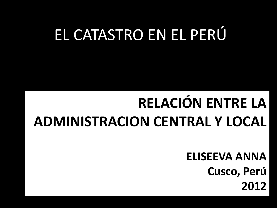### EL CATASTRO EN EL PERÚ

### **RELACIÓN ENTRE LA ADMINISTRACION CENTRAL Y LOCAL**

**ELISEEVA ANNA Cusco, Perú 2012**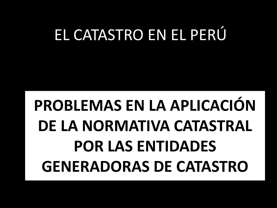### EL CATASTRO EN EL PERÚ

## **PROBLEMAS EN LA APLICACIÓN DE LA NORMATIVA CATASTRAL POR LAS ENTIDADES GENERADORAS DE CATASTRO**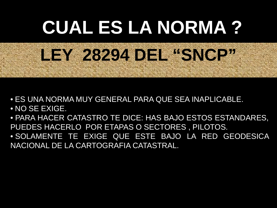# **CUAL ES LA NORMA ?**

LEY 28294 DEL "SNCP"

- ES UNA NORMA MUY GENERAL PARA QUE SEA INAPLICABLE. • NO SE EXIGE.
- PARA HACER CATASTRO TE DICE: HAS BAJO ESTOS ESTANDARES, PUEDES HACERLO POR ETAPAS O SECTORES , PILOTOS.
- SOLAMENTE TE EXIGE QUE ESTE BAJO LA RED GEODESICA NACIONAL DE LA CARTOGRAFIA CATASTRAL.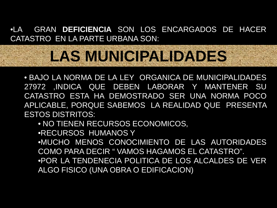•LA GRAN **DEFICIENCIA** SON LOS ENCARGADOS DE HACER CATASTRO EN LA PARTE URBANA SON:

LAS MUNICIPALIS DALE

• BAJO LA NORMA DE LA LEY ORGANICA DE MUNICIPALIDADES 27972 ,INDICA QUE DEBEN LABORAR Y MANTENER SU CATASTRO ESTA HA DEMOSTRADO SER UNA NORMA POCO APLICABLE, PORQUE SABEMOS LA REALIDAD QUE PRESENTA ESTOS DISTRITOS:

- NO TIENEN RECURSOS ECONOMICOS,
- •RECURSOS HUMANOS Y

•MUCHO MENOS CONOCIMIENTO DE LAS AUTORIDADES COMO PARA DECIR " VAMOS HAGAMOS EL CATASTRO".

•POR LA TENDENECIA POLITICA DE LOS ALCALDES DE VER ALGO FISICO (UNA OBRA O EDIFICACION)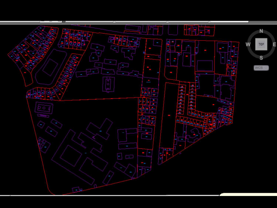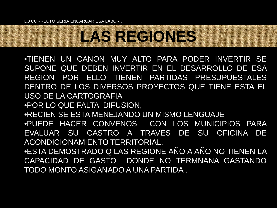LO CORRECTO SERIA ENCARGAR ESA LABOR .

•TIENEN UN CANON MUY ALTO PARA PODER INVERTIR SE SUPONE QUE DEBEN INVERTIR EN EL DESARROLLO DE ESA REGION POR ELLO TIENEN PARTIDAS PRESUPUESTALES DENTRO DE LOS DIVERSOS PROYECTOS QUE TIENE ESTA EL USO DE LA CARTOGRAFIA •POR LO QUE FALTA DIFUSION, •RECIEN SE ESTA MENEJANDO UN MISMO LENGUAJE •PUEDE HACER CONVENOS CON LOS MUNICIPIOS PARA EVALUAR SU CASTRO A TRAVES DE SU OFICINA DE ACONDICIONAMIENTO TERRITORIAL. •ESTA DEMOSTRADO Q LAS REGIONE AÑO A AÑO NO TIENEN LA CAPACIDAD DE GASTO DONDE NO TERMNANA GASTANDO TODO MONTO ASIGANADO A UNA PARTIDA .

LAS REGIONES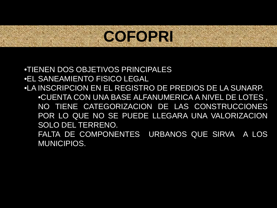### **COEOR**

•TIENEN DOS OBJETIVOS PRINCIPALES •EL SANEAMIENTO FISICO LEGAL •LA INSCRIPCION EN EL REGISTRO DE PREDIOS DE LA SUNARP. •CUENTA CON UNA BASE ALFANUMERICA A NIVEL DE LOTES , NO TIENE CATEGORIZACION DE LAS CONSTRUCCIONES POR LO QUE NO SE PUEDE LLEGARA UNA VALORIZACION SOLO DEL TERRENO. FALTA DE COMPONENTES URBANOS QUE SIRVA A LOS

MUNICIPIOS.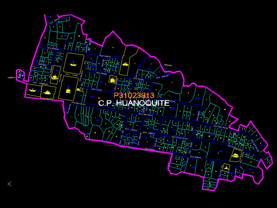